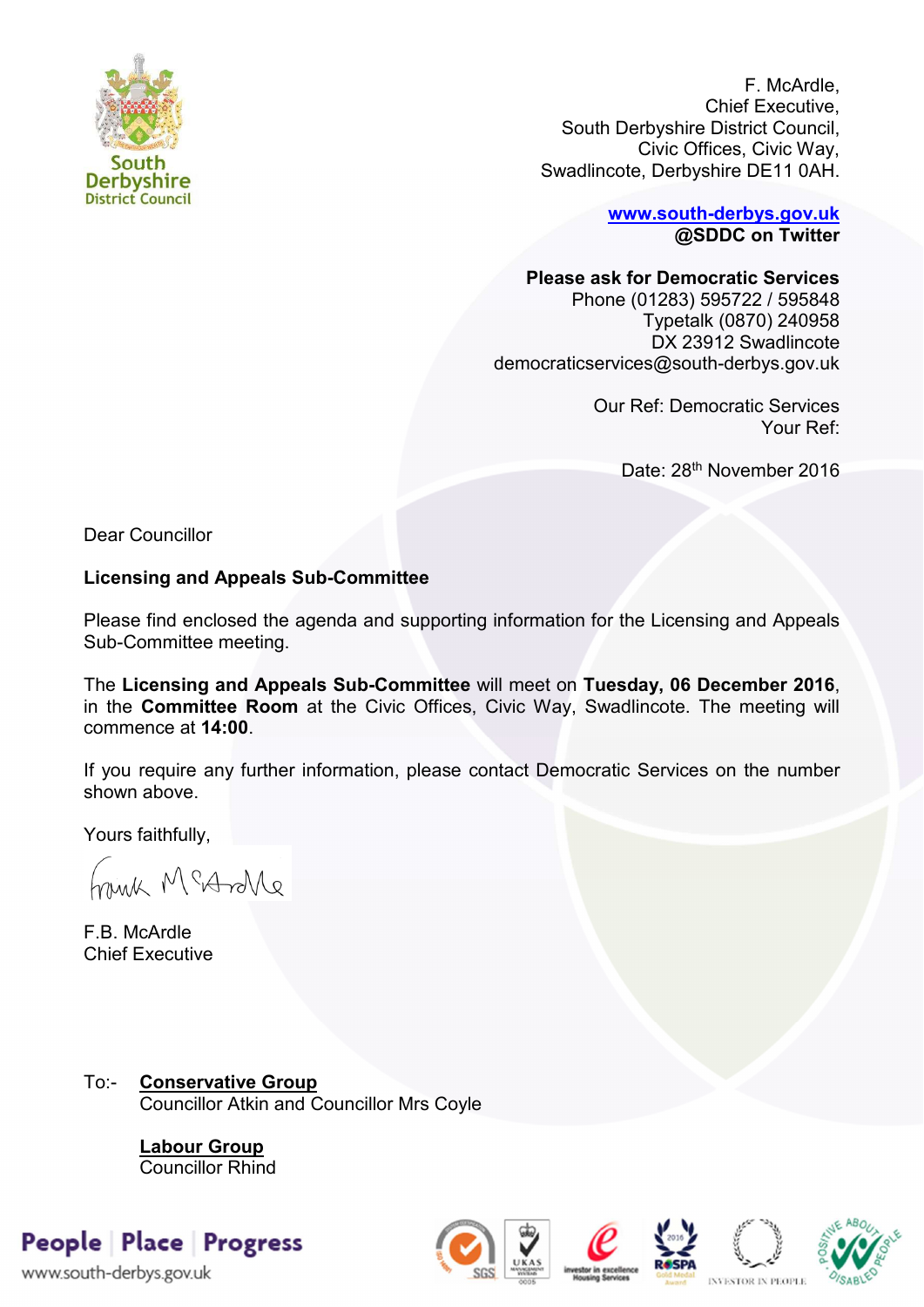

F. McArdle, Chief Executive, South Derbyshire District Council, Civic Offices, Civic Way, Swadlincote, Derbyshire DE11 0AH.

> **[www.south-derbys.gov.uk](http://www.south-derbys.gov.uk/) @SDDC on Twitter**

**Please ask for Democratic Services**  Phone (01283) 595722 / 595848 Typetalk (0870) 240958 DX 23912 Swadlincote democraticservices@south-derbys.gov.uk

> Our Ref: Democratic Services Your Ref:

> > Date: 28<sup>th</sup> November 2016

Dear Councillor

## **Licensing and Appeals Sub-Committee**

Please find enclosed the agenda and supporting information for the Licensing and Appeals Sub-Committee meeting.

The **Licensing and Appeals Sub-Committee** will meet on **Tuesday, 06 December 2016**, in the **Committee Room** at the Civic Offices, Civic Way, Swadlincote. The meeting will commence at **14:00**.

If you require any further information, please contact Democratic Services on the number shown above.

Yours faithfully,

Anik McAzMe

F.B. McArdle Chief Executive

### To:- **Conservative Group**  Councillor Atkin and Councillor Mrs Coyle

**Labour Group** Councillor Rhind

# People Place Progress

www.south-derbys.gov.uk